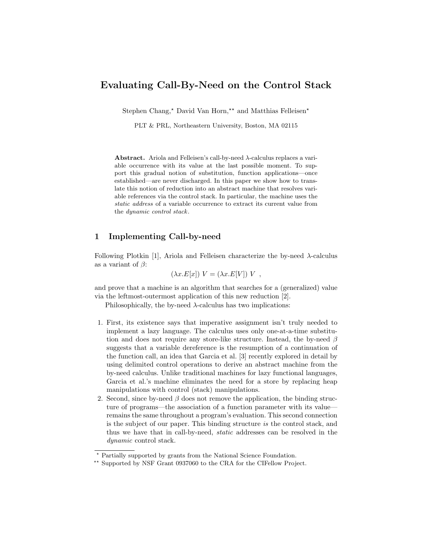# Evaluating Call-By-Need on the Control Stack

Stephen Chang,\* David Van Horn,\*\* and Matthias Felleisen\*

PLT & PRL, Northeastern University, Boston, MA 02115

Abstract. Ariola and Felleisen's call-by-need λ-calculus replaces a variable occurrence with its value at the last possible moment. To support this gradual notion of substitution, function applications—once established—are never discharged. In this paper we show how to translate this notion of reduction into an abstract machine that resolves variable references via the control stack. In particular, the machine uses the static address of a variable occurrence to extract its current value from the dynamic control stack.

# 1 Implementing Call-by-need

Following Plotkin [1], Ariola and Felleisen characterize the by-need  $\lambda$ -calculus as a variant of  $\beta$ :

$$
(\lambda x.E[x]) V = (\lambda x.E[V]) V ,
$$

and prove that a machine is an algorithm that searches for a (generalized) value via the leftmost-outermost application of this new reduction [2].

Philosophically, the by-need  $\lambda$ -calculus has two implications:

- 1. First, its existence says that imperative assignment isn't truly needed to implement a lazy language. The calculus uses only one-at-a-time substitution and does not require any store-like structure. Instead, the by-need  $\beta$ suggests that a variable dereference is the resumption of a continuation of the function call, an idea that Garcia et al. [3] recently explored in detail by using delimited control operations to derive an abstract machine from the by-need calculus. Unlike traditional machines for lazy functional languages, Garcia et al.'s machine eliminates the need for a store by replacing heap manipulations with control (stack) manipulations.
- 2. Second, since by-need  $\beta$  does not remove the application, the binding structure of programs—the association of a function parameter with its value remains the same throughout a program's evaluation. This second connection is the subject of our paper. This binding structure is the control stack, and thus we have that in call-by-need, static addresses can be resolved in the dynamic control stack.

<sup>?</sup> Partially supported by grants from the National Science Foundation.

<sup>\*\*</sup> Supported by NSF Grant 0937060 to the CRA for the CIFellow Project.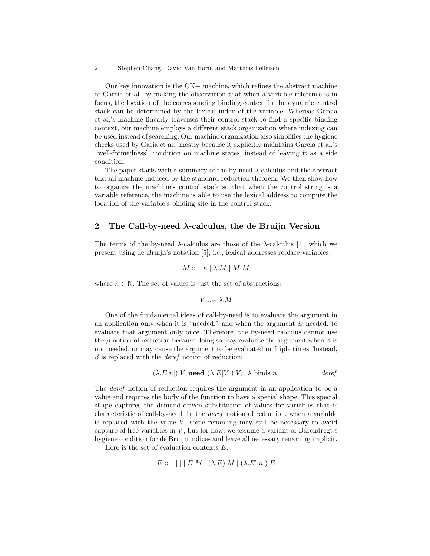#### 2 Stephen Chang, David Van Horn, and Matthias Felleisen

Our key innovation is the CK+ machine, which refines the abstract machine of Garcia et al. by making the observation that when a variable reference is in focus, the location of the corresponding binding context in the dynamic control stack can be determined by the lexical index of the variable. Whereas Garcia et al.'s machine linearly traverses their control stack to find a specific binding context, our machine employs a different stack organization where indexing can be used instead of searching. Our machine organization also simplifies the hygiene checks used by Garia et al., mostly because it explicitly maintains Garcia et al.'s "well-formedness" condition on machine states, instead of leaving it as a side condition.

The paper starts with a summary of the by-need  $\lambda$ -calculus and the abstract textual machine induced by the standard reduction theorem. We then show how to organize the machine's control stack so that when the control string is a variable reference, the machine is able to use the lexical address to compute the location of the variable's binding site in the control stack.

### 2 The Call-by-need  $\lambda$ -calculus, the de Bruijn Version

The terms of the by-need  $\lambda$ -calculus are those of the  $\lambda$ -calculus [4], which we present using de Bruijn's notation [5], i.e., lexical addresses replace variables:

$$
M ::= n | \lambda.M | M M
$$

where  $n \in \mathbb{N}$ . The set of values is just the set of abstractions:

$$
V ::= \lambda.M
$$

One of the fundamental ideas of call-by-need is to evaluate the argument in an application only when it is "needed," and when the argument is needed, to evaluate that argument only once. Therefore, the by-need calculus cannot use the  $\beta$  notion of reduction because doing so may evaluate the argument when it is not needed, or may cause the argument to be evaluated multiple times. Instead,  $\beta$  is replaced with the *deref* notion of reduction:

$$
(\lambda.E[n]) V \text{ need } (\lambda.E[V]) V, \quad \lambda \text{ binds } n \qquad \text{deref}
$$

The deref notion of reduction requires the argument in an application to be a value and requires the body of the function to have a special shape. This special shape captures the demand-driven substitution of values for variables that is characteristic of call-by-need. In the deref notion of reduction, when a variable is replaced with the value  $V$ , some renaming may still be necessary to avoid capture of free variables in  $V$ , but for now, we assume a variant of Barendregt's hygiene condition for de Bruijn indices and leave all necessary renaming implicit.

Here is the set of evaluation contexts  $E$ :

$$
E ::= [ | | E M | (\lambda.E) M | (\lambda.E'[n]) E
$$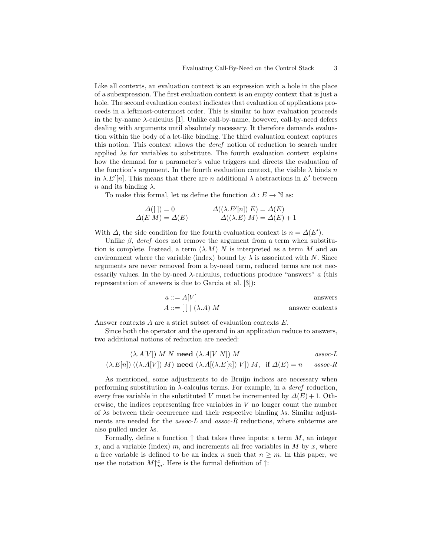Like all contexts, an evaluation context is an expression with a hole in the place of a subexpression. The first evaluation context is an empty context that is just a hole. The second evaluation context indicates that evaluation of applications proceeds in a leftmost-outermost order. This is similar to how evaluation proceeds in the by-name λ-calculus [1]. Unlike call-by-name, however, call-by-need defers dealing with arguments until absolutely necessary. It therefore demands evaluation within the body of a let-like binding. The third evaluation context captures this notion. This context allows the deref notion of reduction to search under applied  $\lambda$ s for variables to substitute. The fourth evaluation context explains how the demand for a parameter's value triggers and directs the evaluation of the function's argument. In the fourth evaluation context, the visible  $\lambda$  binds n in  $\lambda E'[n]$ . This means that there are n additional  $\lambda$  abstractions in E' between n and its binding  $\lambda$ .

To make this formal, let us define the function  $\Delta : E \to \mathbb{N}$  as:

$$
\Delta([\ ]) = 0 \qquad \Delta((\lambda.E'[n]) E) = \Delta(E) \n\Delta(E M) = \Delta(E) \qquad \Delta((\lambda.E) M) = \Delta(E) + 1
$$

With  $\Delta$ , the side condition for the fourth evaluation context is  $n = \Delta(E')$ .

Unlike  $\beta$ , deref does not remove the argument from a term when substitution is complete. Instead, a term  $(\lambda M)$  N is interpreted as a term M and an environment where the variable (index) bound by  $\lambda$  is associated with N. Since arguments are never removed from a by-need term, reduced terms are not necessarily values. In the by-need  $\lambda$ -calculus, reductions produce "answers" a (this representation of answers is due to Garcia et al. [3]):

$$
a ::= A[V] \qquad \text{answers} \\ A ::= [] | (\lambda.A) M \qquad \text{answer contexts}
$$

Answer contexts A are a strict subset of evaluation contexts E.

Since both the operator and the operand in an application reduce to answers, two additional notions of reduction are needed:

$$
(\lambda.A[V]) M N \text{ need } (\lambda.A[V N]) M \qquad \text{assoc-}L
$$
  

$$
(\lambda.E[n]) ((\lambda.A[V]) M) \text{ need } (\lambda.A[(\lambda.E[n]) V]) M, \text{ if } \Delta(E) = n \qquad \text{assoc-}R
$$

As mentioned, some adjustments to de Bruijn indices are necessary when performing substitution in  $\lambda$ -calculus terms. For example, in a *deref* reduction, every free variable in the substituted V must be incremented by  $\Delta(E) + 1$ . Otherwise, the indices representing free variables in  $V$  no longer count the number of  $\lambda$ s between their occurrence and their respective binding  $\lambda$ s. Similar adjustments are needed for the  $assoc-L$  and  $assoc-R$  reductions, where subterms are also pulled under  $\lambda$ s.

Formally, define a function  $\uparrow$  that takes three inputs: a term M, an integer x, and a variable (index) m, and increments all free variables in M by x, where a free variable is defined to be an index n such that  $n \geq m$ . In this paper, we use the notation  $M{\uparrow}^x_m$ . Here is the formal definition of  $\uparrow$ :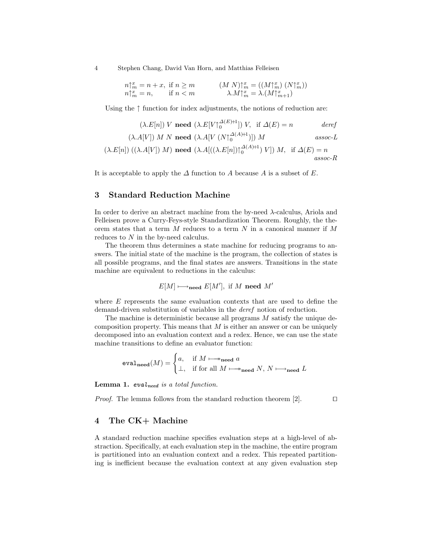4 Stephen Chang, David Van Horn, and Matthias Felleisen

$$
\begin{array}{ll} n\uparrow_m^x=n+x, \text{ if } n\geq m \\ n\uparrow_m^x=n, \text{ if } n
$$

Using the  $\uparrow$  function for index adjustments, the notions of reduction are:

$$
(\lambda.E[n]) V \text{ need } (\lambda.E[V\uparrow_0^{\Delta(E)+1}]) V, \text{ if } \Delta(E) = n \qquad \text{~deref}
$$

$$
(\lambda.A[V]) M N \text{ need } (\lambda.A[V(N\uparrow_0^{\Delta(A)+1})]) M \qquad \text{~assoc-}L
$$

$$
(\lambda.E[n]) ((\lambda.A[V]) M) \text{ need } (\lambda.A[((\lambda.E[n])\uparrow_0^{\Delta(A)+1}) V]) M, \text{ if } \Delta(E) = n
$$

assoc-R

It is acceptable to apply the  $\Delta$  function to A because A is a subset of E.

### 3 Standard Reduction Machine

In order to derive an abstract machine from the by-need  $\lambda$ -calculus, Ariola and Felleisen prove a Curry-Feys-style Standardization Theorem. Roughly, the theorem states that a term  $M$  reduces to a term  $N$  in a canonical manner if  $M$ reduces to N in the by-need calculus.

The theorem thus determines a state machine for reducing programs to answers. The initial state of the machine is the program, the collection of states is all possible programs, and the final states are answers. Transitions in the state machine are equivalent to reductions in the calculus:

$$
E[M] \longmapsto_{\mathbf{need}} E[M'], \text{ if } M \text{ need } M'
$$

where E represents the same evaluation contexts that are used to define the demand-driven substitution of variables in the deref notion of reduction.

The machine is deterministic because all programs M satisfy the unique decomposition property. This means that  $M$  is either an answer or can be uniquely decomposed into an evaluation context and a redex. Hence, we can use the state machine transitions to define an evaluator function:

$$
\texttt{eval}_{\textbf{need}}(M) = \begin{cases} a, & \text{if } M \longmapsto_{\textbf{need}} a \\ \bot, & \text{if for all } M \longmapsto_{\textbf{need}} N, N \longmapsto_{\textbf{need}} L \end{cases}
$$

Lemma 1. evalneed is a total function.

*Proof.* The lemma follows from the standard reduction theorem [2].  $\Box$ 

# 4 The CK+ Machine

A standard reduction machine specifies evaluation steps at a high-level of abstraction. Specifically, at each evaluation step in the machine, the entire program is partitioned into an evaluation context and a redex. This repeated partitioning is inefficient because the evaluation context at any given evaluation step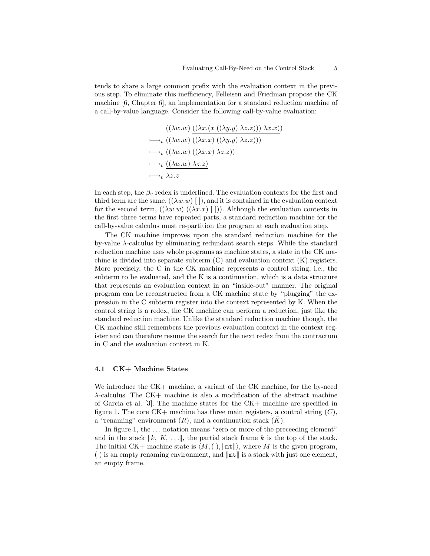tends to share a large common prefix with the evaluation context in the previous step. To eliminate this inefficiency, Felleisen and Friedman propose the CK machine [6, Chapter 6], an implementation for a standard reduction machine of a call-by-value language. Consider the following call-by-value evaluation:

$$
((\lambda w.w) \underline{((\lambda x.(x ((\lambda y.y) \lambda z.z))) \lambda x.x)})
$$
  
\n
$$
\mapsto_v ((\lambda w.w) \underline{((\lambda x.x) ((\lambda y.y) \lambda z.z))})
$$
  
\n
$$
\mapsto_v ((\lambda w.w) \underline{((\lambda x.x) \lambda z.z)})
$$
  
\n
$$
\mapsto_v \underline{((\lambda w.w) \lambda z.z)}
$$
  
\n
$$
\mapsto_v \lambda z.z
$$

In each step, the  $\beta_v$  redex is underlined. The evaluation contexts for the first and third term are the same,  $((\lambda w.w) \mid)$ , and it is contained in the evaluation context for the second term,  $((\lambda w.w)(\lambda x.x) \mid))$ . Although the evaluation contexts in the first three terms have repeated parts, a standard reduction machine for the call-by-value calculus must re-partition the program at each evaluation step.

The CK machine improves upon the standard reduction machine for the by-value λ-calculus by eliminating redundant search steps. While the standard reduction machine uses whole programs as machine states, a state in the CK machine is divided into separate subterm (C) and evaluation context (K) registers. More precisely, the C in the CK machine represents a control string, i.e., the subterm to be evaluated, and the K is a continuation, which is a data structure that represents an evaluation context in an "inside-out" manner. The original program can be reconstructed from a CK machine state by "plugging" the expression in the C subterm register into the context represented by K. When the control string is a redex, the CK machine can perform a reduction, just like the standard reduction machine. Unlike the standard reduction machine though, the CK machine still remembers the previous evaluation context in the context register and can therefore resume the search for the next redex from the contractum in C and the evaluation context in K.

#### 4.1 CK+ Machine States

We introduce the CK+ machine, a variant of the CK machine, for the by-need λ-calculus. The CK+ machine is also a modification of the abstract machine of Garcia et al. [3]. The machine states for the CK+ machine are specified in figure 1. The core  $CK+$  machine has three main registers, a control string  $(C)$ , a "renaming" environment  $(R)$ , and a continuation stack  $(K)$ .

In figure 1, the  $\dots$  notation means "zero or more of the preceeding element" and in the stack  $\|k, K, \ldots\|$ , the partial stack frame k is the top of the stack. The initial CK+ machine state is  $\langle M, ( \cdot ) , || \text{mtl} ||$ , where M is the given program, () is an empty renaming environment, and  $\|\text{mt}\|$  is a stack with just one element, an empty frame.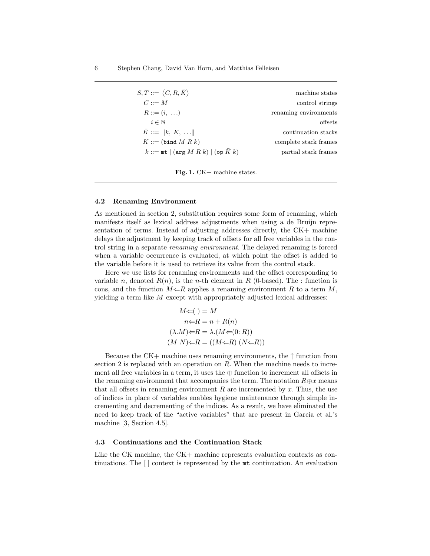| machine states        | $S,T ::= \langle C,R,\bar K\rangle$                            |
|-----------------------|----------------------------------------------------------------|
| control strings       | $C ::= M$                                                      |
| renaming environments | $R ::= (i, \ldots)$                                            |
| offsets               | $i \in \mathbb{N}$                                             |
| continuation stacks   | $K ::=   k, K,   $                                             |
| complete stack frames | $K ::= (bind M R k)$                                           |
| partial stack frames  | $k ::= \texttt{mt}   (\texttt{arg} M R k)   (\texttt{op} K k)$ |

Fig. 1. CK+ machine states.

#### 4.2 Renaming Environment

As mentioned in section 2, substitution requires some form of renaming, which manifests itself as lexical address adjustments when using a de Bruijn representation of terms. Instead of adjusting addresses directly, the CK+ machine delays the adjustment by keeping track of offsets for all free variables in the control string in a separate renaming environment. The delayed renaming is forced when a variable occurrence is evaluated, at which point the offset is added to the variable before it is used to retrieve its value from the control stack.

Here we use lists for renaming environments and the offset corresponding to variable n, denoted  $R(n)$ , is the n-th element in R (0-based). The : function is cons, and the function  $M \leftarrow R$  applies a renaming environment R to a term M, yielding a term like  $M$  except with appropriately adjusted lexical addresses:

$$
M \leftarrow () = M
$$
  
\n
$$
n \leftarrow R = n + R(n)
$$
  
\n
$$
(\lambda.M) \leftarrow R = \lambda.(M \leftarrow (0:R))
$$
  
\n
$$
(M \ N) \leftarrow R = ((M \leftarrow R) (N \leftarrow R))
$$

Because the CK+ machine uses renaming environments, the  $\uparrow$  function from section 2 is replaced with an operation on  $R$ . When the machine needs to increment all free variables in a term, it uses the  $\oplus$  function to increment all offsets in the renaming environment that accompanies the term. The notation  $R \oplus x$  means that all offsets in renaming environment  $R$  are incremented by  $x$ . Thus, the use of indices in place of variables enables hygiene maintenance through simple incrementing and decrementing of the indices. As a result, we have eliminated the need to keep track of the "active variables" that are present in Garcia et al.'s machine [3, Section 4.5].

#### 4.3 Continuations and the Continuation Stack

Like the CK machine, the CK+ machine represents evaluation contexts as continuations. The [ ] context is represented by the mt continuation. An evaluation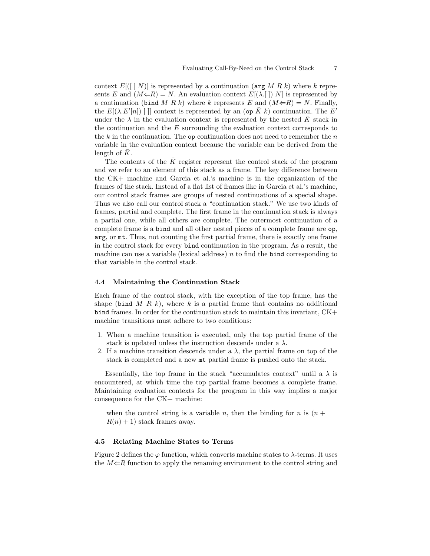context  $E[(|N)]$  is represented by a continuation ( $\arg M R k$ ) where k represents E and  $(M \in \mathbb{R}) = N$ . An evaluation context  $E[(\lambda, \xi])| N$  is represented by a continuation (bind M R k) where k represents E and  $(M \leftarrow R) = N$ . Finally, the  $E[(\lambda E'[n])]$  | context is represented by an (op  $\overline{K}k$ ) continuation. The  $E'$ under the  $\lambda$  in the evaluation context is represented by the nested  $\bar{K}$  stack in the continuation and the E surrounding the evaluation context corresponds to the k in the continuation. The op continuation does not need to remember the  $n$ variable in the evaluation context because the variable can be derived from the length of  $K$ .

The contents of the  $\overline{K}$  register represent the control stack of the program and we refer to an element of this stack as a frame. The key difference between the CK+ machine and Garcia et al.'s machine is in the organization of the frames of the stack. Instead of a flat list of frames like in Garcia et al.'s machine, our control stack frames are groups of nested continuations of a special shape. Thus we also call our control stack a "continuation stack." We use two kinds of frames, partial and complete. The first frame in the continuation stack is always a partial one, while all others are complete. The outermost continuation of a complete frame is a bind and all other nested pieces of a complete frame are op, arg, or mt. Thus, not counting the first partial frame, there is exactly one frame in the control stack for every bind continuation in the program. As a result, the machine can use a variable (lexical address)  $n$  to find the bind corresponding to that variable in the control stack.

#### 4.4 Maintaining the Continuation Stack

Each frame of the control stack, with the exception of the top frame, has the shape (bind M R k), where k is a partial frame that contains no additional bind frames. In order for the continuation stack to maintain this invariant, CK+ machine transitions must adhere to two conditions:

- 1. When a machine transition is executed, only the top partial frame of the stack is updated unless the instruction descends under a  $\lambda$ .
- 2. If a machine transition descends under a  $\lambda$ , the partial frame on top of the stack is completed and a new mt partial frame is pushed onto the stack.

Essentially, the top frame in the stack "accumulates context" until a  $\lambda$  is encountered, at which time the top partial frame becomes a complete frame. Maintaining evaluation contexts for the program in this way implies a major consequence for the CK+ machine:

when the control string is a variable n, then the binding for n is  $(n +$  $R(n) + 1$ ) stack frames away.

#### 4.5 Relating Machine States to Terms

Figure 2 defines the  $\varphi$  function, which converts machine states to  $\lambda$ -terms. It uses the  $M \leftarrow R$  function to apply the renaming environment to the control string and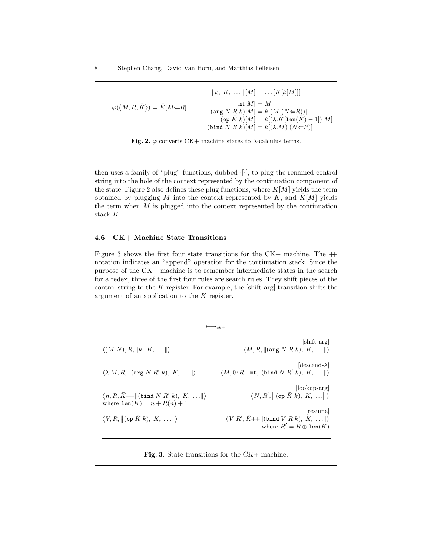$\varphi(\langle M, R, \overline{K} \rangle) = \overline{K}[M \Leftarrow R]$  $\|k, K, \ldots \| [M] = \ldots [K[k[M]]]$  $m t[M] = M$  $(\arg N R k)[M] = k[(M (N \Leftrightarrow R))]$  $(\text{op } \bar{K} k)[M] = k[(\lambda \cdot \bar{K}[\text{len}(\bar{K})-1]) M]$ (bind  $N R k$ ) $[M] = k[(\lambda \cdot M) (N \leftarrow R)]$ 



then uses a family of "plug" functions, dubbed ·[·], to plug the renamed control string into the hole of the context represented by the continuation component of the state. Figure 2 also defines these plug functions, where  $K[M]$  yields the term obtained by plugging M into the context represented by K, and  $\overline{K}[M]$  yields the term when  $M$  is plugged into the context represented by the continuation stack  $\bar{K}$ .

#### 4.6 CK+ Machine State Transitions

Figure 3 shows the first four state transitions for the CK+ machine. The  $+$ notation indicates an "append" operation for the continuation stack. Since the purpose of the CK+ machine is to remember intermediate states in the search for a redex, three of the first four rules are search rules. They shift pieces of the control string to the  $\bar{K}$  register. For example, the [shift-arg] transition shifts the argument of an application to the  $\bar{K}$  register.

| $\rightarrow_{ck+}$                                                                                   |                                                                                                          |
|-------------------------------------------------------------------------------------------------------|----------------------------------------------------------------------------------------------------------|
| $\langle (M\ N), R,   k, K, \ldots    \rangle$                                                        | shift-arg<br>$\langle M, R, \parallel (\arg N \ R \ k), \ K, \ \ldots \parallel \rangle$                 |
| $\langle \lambda.M, R,   (\text{arg } N R' k), K,     \rangle$                                        | $ \text{descend-}\lambda $<br>$\langle M, 0:R, \ \text{mt}, (\text{bind } N R' k), K, \ldots \ \rangle$  |
| $\langle n, R, \bar{K} +   $ (bind $N R' k$ ), $K,    $<br>where $\text{len}(\bar{K}) = n + R(n) + 1$ | [lookup-arg]<br>$\langle N, R',   $ (op $\overline{K} k$ ), $K,    $                                     |
| $\langle V, R, \parallel$ (op $\overline{K} k$ ), $K, \ldots \parallel \rangle$                       | resume<br>$\langle V, R', \bar{K} +   $ (bind $V R k$ ), $K,    $<br>where $R' = R \oplus \text{len}(K)$ |

Fig. 3. State transitions for the CK+ machine.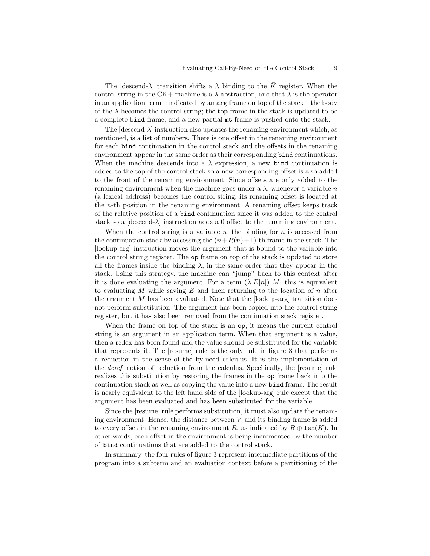The [descend- $\lambda$ ] transition shifts a  $\lambda$  binding to the K register. When the control string in the CK+ machine is a  $\lambda$  abstraction, and that  $\lambda$  is the operator in an application term—indicated by an arg frame on top of the stack—the body of the  $\lambda$  becomes the control string; the top frame in the stack is updated to be a complete bind frame; and a new partial mt frame is pushed onto the stack.

The  $\delta$  descend- $\lambda$  instruction also updates the renaming environment which, as mentioned, is a list of numbers. There is one offset in the renaming environment for each bind continuation in the control stack and the offsets in the renaming environment appear in the same order as their corresponding bind continuations. When the machine descends into a  $\lambda$  expression, a new bind continuation is added to the top of the control stack so a new corresponding offset is also added to the front of the renaming environment. Since offsets are only added to the renaming environment when the machine goes under a  $\lambda$ , whenever a variable n (a lexical address) becomes the control string, its renaming offset is located at the *n*-th position in the renaming environment. A renaming offset keeps track of the relative position of a bind continuation since it was added to the control stack so a  $\text{descend-}\lambda$  instruction adds a 0 offset to the renaming environment.

When the control string is a variable n, the binding for  $n$  is accessed from the continuation stack by accessing the  $(n+R(n)+1)$ -th frame in the stack. The [lookup-arg] instruction moves the argument that is bound to the variable into the control string register. The op frame on top of the stack is updated to store all the frames inside the binding  $\lambda$ , in the same order that they appear in the stack. Using this strategy, the machine can "jump" back to this context after it is done evaluating the argument. For a term  $(\lambda E[n]) M$ , this is equivalent to evaluating M while saving E and then returning to the location of n after the argument  $M$  has been evaluated. Note that the [lookup-arg] transition does not perform substitution. The argument has been copied into the control string register, but it has also been removed from the continuation stack register.

When the frame on top of the stack is an op, it means the current control string is an argument in an application term. When that argument is a value, then a redex has been found and the value should be substituted for the variable that represents it. The [resume] rule is the only rule in figure 3 that performs a reduction in the sense of the by-need calculus. It is the implementation of the deref notion of reduction from the calculus. Specifically, the [resume] rule realizes this substitution by restoring the frames in the op frame back into the continuation stack as well as copying the value into a new bind frame. The result is nearly equivalent to the left hand side of the [lookup-arg] rule except that the argument has been evaluated and has been substituted for the variable.

Since the [resume] rule performs substitution, it must also update the renaming environment. Hence, the distance between  $V$  and its binding frame is added to every offset in the renaming environment R, as indicated by  $R \oplus \text{len}(K)$ . In other words, each offset in the environment is being incremented by the number of bind continuations that are added to the control stack.

In summary, the four rules of figure 3 represent intermediate partitions of the program into a subterm and an evaluation context before a partitioning of the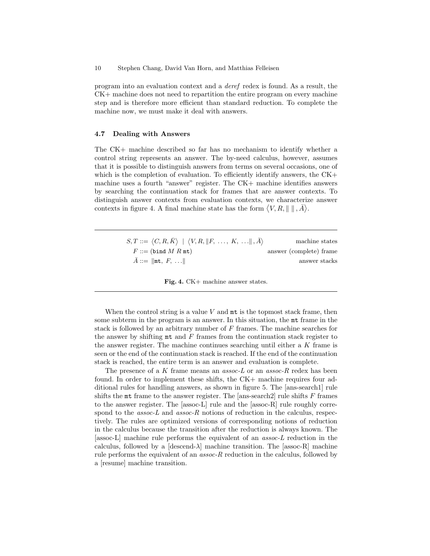program into an evaluation context and a deref redex is found. As a result, the CK+ machine does not need to repartition the entire program on every machine step and is therefore more efficient than standard reduction. To complete the machine now, we must make it deal with answers.

#### 4.7 Dealing with Answers

The CK+ machine described so far has no mechanism to identify whether a control string represents an answer. The by-need calculus, however, assumes that it is possible to distinguish answers from terms on several occasions, one of which is the completion of evaluation. To efficiently identify answers, the  $CK+$ machine uses a fourth "answer" register. The CK+ machine identifies answers by searching the continuation stack for frames that are answer contexts. To distinguish answer contexts from evaluation contexts, we characterize answer contexts in figure 4. A final machine state has the form  $\langle V, R, \|\ \|, \bar{A} \rangle$ .

> $S, T ::= \langle C, R, \overline{K} \rangle \mid \langle V, R, ||F, \ldots, K, \ldots ||, \overline{A} \rangle$ machine states  $F ::= (\text{bind } M R \text{ mt})$  answer (complete) frame  $A ::= \|\texttt{mt}, F, \ldots\|$  answer stacks

> > Fig. 4. CK+ machine answer states.

When the control string is a value  $V$  and  $m$  is the topmost stack frame, then some subterm in the program is an answer. In this situation, the mt frame in the stack is followed by an arbitrary number of  $F$  frames. The machine searches for the answer by shifting  $m\text{t}$  and  $F$  frames from the continuation stack register to the answer register. The machine continues searching until either a K frame is seen or the end of the continuation stack is reached. If the end of the continuation stack is reached, the entire term is an answer and evaluation is complete.

The presence of a K frame means an  $assoc-L$  or an  $assoc-R$  redex has been found. In order to implement these shifts, the CK+ machine requires four additional rules for handling answers, as shown in figure 5. The [ans-search1] rule shifts the  $m$ t frame to the answer register. The [ans-search2] rule shifts  $F$  frames to the answer register. The [assoc-L] rule and the [assoc-R] rule roughly correspond to the  $assoc-L$  and  $assoc-R$  notions of reduction in the calculus, respectively. The rules are optimized versions of corresponding notions of reduction in the calculus because the transition after the reduction is always known. The [assoc-L] machine rule performs the equivalent of an assoc-L reduction in the calculus, followed by a  $\text{descend-}\lambda$  machine transition. The  $\text{lassoc-R}$  machine rule performs the equivalent of an assoc-R reduction in the calculus, followed by a [resume] machine transition.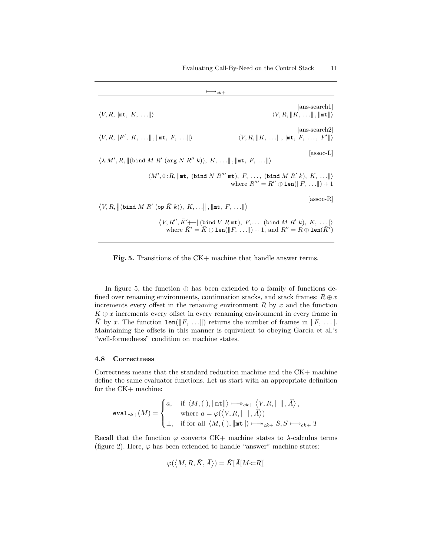| $\rightarrow_{ck+}$                                                                                                                               |                                                                                                                                                                                                                                                              |  |
|---------------------------------------------------------------------------------------------------------------------------------------------------|--------------------------------------------------------------------------------------------------------------------------------------------------------------------------------------------------------------------------------------------------------------|--|
| $\langle V, R, \ \text{mt}, K, \ldots\ \rangle$                                                                                                   | ans-search1<br>$\langle V, R,   K, \ldots  ,   m\mathbf{t}   \rangle$                                                                                                                                                                                        |  |
| $\langle V, R,   F', K, \ldots  ,   m\mathsf{t}, F, \ldots   \rangle$                                                                             | [ans-search2]<br>$\langle V, R,   K, \ldots  ,   \text{mt}, F, \ldots, F'  \rangle$                                                                                                                                                                          |  |
| $ $ assoc-L $ $<br>$\langle \lambda.M', R, \Vert (\text{bind } M R' \text{ (arg } N R'' k)), K, \ldots \Vert, \Vert m t, F, \ldots \Vert \rangle$ |                                                                                                                                                                                                                                                              |  |
|                                                                                                                                                   | $\langle M', 0:R, \ \text{mt}, (\text{bind } N R''' \text{ mt}), F, \ldots, (\text{bind } M R' k), K, \ldots \ \rangle$<br>where $R''' = R'' \oplus \text{len}(\ F, \dots\ ) + 1$                                                                            |  |
| $ $ assoc-R $ $<br>$\langle V, R, \Vert$ (bind M R' (op $\overline{K} k$ )), $K, \ldots \Vert, \Vert$ mt, $F, \ldots \Vert$ )                     |                                                                                                                                                                                                                                                              |  |
|                                                                                                                                                   | $\langle V, R'', \overline{K}' + \parallel (\text{bind } V R \text{ mt}), F, \dots \text{ (bind } M R' k), K, \dots \parallel \rangle$<br>where $\bar{K}' = \bar{K} \oplus \text{len}(\Vert F, \dots \Vert) + 1$ , and $R'' = R \oplus \text{len}(\bar{K}')$ |  |

Fig. 5. Transitions of the CK+ machine that handle answer terms.

In figure 5, the function  $\oplus$  has been extended to a family of functions defined over renaming environments, continuation stacks, and stack frames:  $R \oplus x$ increments every offset in the renaming environment  $R$  by  $x$  and the function  $\bar{K} \oplus x$  increments every offset in every renaming environment in every frame in  $\bar{K}$  by x. The function len( $\|F, \ldots\|$ ) returns the number of frames in  $\|F, \ldots\|$ . Maintaining the offsets in this manner is equivalent to obeying Garcia et al.'s "well-formedness" condition on machine states.

#### 4.8 Correctness

Correctness means that the standard reduction machine and the CK+ machine define the same evaluator functions. Let us start with an appropriate definition for the CK+ machine:

$$
\text{eval}_{ck+}(M) = \begin{cases} a, & \text{if } \langle M, ( \cdot ), \| \mathfrak{m} \mathsf{t} \| \rangle \longmapsto_{ck+} \langle V, R, \| \parallel, \bar{A} \rangle \,, \\ & \text{where } a = \varphi(\langle V, R, \| \parallel, \bar{A} \rangle) \\ \perp, & \text{if for all } \langle M, ( \cdot ), \| \mathfrak{m} \mathsf{t} \| \rangle \longmapsto_{ck+} S, S \longmapsto_{ck+} T \end{cases}
$$

Recall that the function  $\varphi$  converts CK+ machine states to  $\lambda$ -calculus terms (figure 2). Here,  $\varphi$  has been extended to handle "answer" machine states:

$$
\varphi(\langle M, R, \bar{K}, \bar{A}\rangle) = \bar{K}[\bar{A}[M \Leftarrow R]]
$$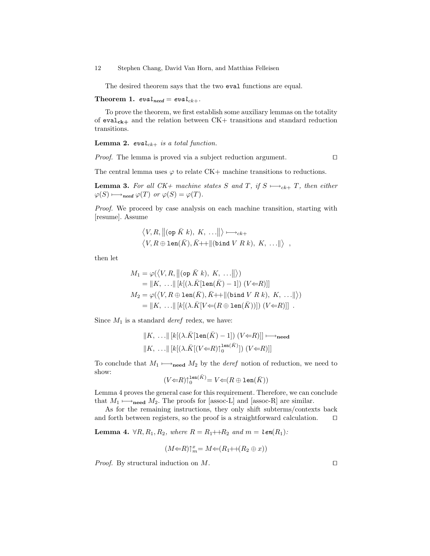12 Stephen Chang, David Van Horn, and Matthias Felleisen

The desired theorem says that the two eval functions are equal.

Theorem 1. evalued = evaluet.

To prove the theorem, we first establish some auxiliary lemmas on the totality of eval<sub>ck+</sub> and the relation between  $CK+$  transitions and standard reduction transitions.

**Lemma 2.** evalck+ is a total function.

*Proof.* The lemma is proved via a subject reduction argument.  $\square$ 

The central lemma uses  $\varphi$  to relate CK+ machine transitions to reductions.

**Lemma 3.** For all CK+ machine states S and T, if  $S \rightarrow c_{ck+} T$ , then either  $\varphi(S) \longmapsto_{\text{need}} \varphi(T) \text{ or } \varphi(S) = \varphi(T).$ 

Proof. We proceed by case analysis on each machine transition, starting with [resume]. Assume

$$
\langle V, R, \| (\text{op } \bar{K} k), K, \ldots \| \rangle \longrightarrow_{ck+}
$$
  

$$
\langle V, R \oplus \text{len}(\bar{K}), \bar{K} + \| (\text{bind } V R k), K, \ldots \| \rangle,
$$

then let

$$
M_1 = \varphi(\langle V, R, \|(\text{op }\bar{K} k), K, \ldots \| \rangle)
$$
  
\n
$$
= \|K, \ldots \| [k[(\lambda \cdot \bar{K}[\text{len}(\bar{K}) - 1]) (V \Leftarrow R)]]
$$
  
\n
$$
M_2 = \varphi(\langle V, R \oplus \text{len}(\bar{K}), \bar{K} + \|(\text{bind } V R k), K, \ldots \| \rangle)
$$
  
\n
$$
= \|K, \ldots \| [k[(\lambda \cdot \bar{K}[V \Leftarrow (R \oplus \text{len}(\bar{K}))]) (V \Leftarrow R)]] .
$$

Since  $M_1$  is a standard *deref* redex, we have:

$$
||K, \ldots|| [k[(\lambda \cdot \bar{K}[\text{len}(\bar{K})-1]) (V \Leftarrow R)]] \longmapsto_{\text{need}}
$$
  

$$
||K, \ldots|| [k[(\lambda \cdot \bar{K}[(V \Leftarrow R)]_0^{\text{len}(\bar{K})}]) (V \Leftarrow R)]]
$$

To conclude that  $M_1 \longmapsto_{\textbf{need}} M_2$  by the *deref* notion of reduction, we need to show:

$$
(V\!\!\Leftarrow\!\!R)\!\!\uparrow_0^{\text{len}(\bar{K})}\!\!=V\!\!\Leftarrow\!\!(R\oplus \text{len}(\bar{K}))
$$

Lemma 4 proves the general case for this requirement. Therefore, we can conclude that  $M_1 \longmapsto$ need  $M_2$ . The proofs for [assoc-L] and [assoc-R] are similar.

As for the remaining instructions, they only shift subterms/contexts back and forth between registers, so the proof is a straightforward calculation.  $\square$ 

**Lemma 4.**  $\forall R, R_1, R_2$ , where  $R = R_1 + R_2$  and  $m = \text{len}(R_1)$ :

$$
(M \in \mathbb{R}) \uparrow_m^x = M \in (R_1 + (R_2 \oplus x))
$$

*Proof.* By structural induction on  $M$ .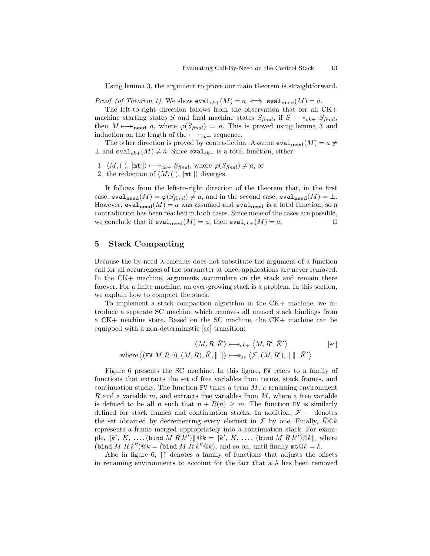Using lemma 3, the argument to prove our main theorem is straightforward.

*Proof (of Theorem 1)*. We show  $eval_{ck+}(M) = a \iff eval_{need}(M) = a$ .

The left-to-right direction follows from the observation that for all CK+ machine starting states S and final machine states  $S_{\text{final}}$ , if  $S \longmapsto c_{k+} S_{\text{final}}$ , then  $M \mapsto_{\text{need}} a$ , where  $\varphi(S_{\text{final}}) = a$ . This is proved using lemma 3 and induction on the length of the  $\mapsto c_{k+}$  sequence.

The other direction is proved by contradiction. Assume  $eval_{need}(M) = a \neq$  $\perp$  and eval<sub>ck+</sub>(M)  $\neq$  a. Since eval<sub>ck+</sub> is a total function, either:

- 1.  $\langle M, ( \cdot ) , || \text{mt} || \rangle \longmapsto_{ck+} S_{final}$ , where  $\varphi(S_{final}) \neq a$ , or
- 2. the reduction of  $\langle M, ( \cdot )$ ,  $\|$ mt $\|$  diverges.

It follows from the left-to-right direction of the theorem that, in the first case, evalneed $(M) = \varphi(S_{final}) \neq a$ , and in the second case, evalneed $(M) = \bot$ . However, evalneed(M) = a was assumed and evalneed is a total function, so a contradiction has been reached in both cases. Since none of the cases are possible, we conclude that if  $eval_{need}(M) = a$ , then  $eval_{ck+}(M) = a$ .

### 5 Stack Compacting

Because the by-need  $\lambda$ -calculus does not substitute the argument of a function call for all occurrences of the parameter at once, applications are never removed. In the CK+ machine, arguments accumulate on the stack and remain there forever. For a finite machine, an ever-growing stack is a problem. In this section, we explain how to compact the stack.

To implement a stack compaction algorithm in the CK+ machine, we introduce a separate SC machine which removes all unused stack bindings from a CK+ machine state. Based on the SC machine, the CK+ machine can be equipped with a non-deterministic [sc] transition:

$$
\langle M, R, \bar{K} \rangle \longmapsto_{ck+} \langle M, R', \bar{K}' \rangle
$$
 [sc]  
where  $\langle (\text{FV } M R 0), (M, R), \bar{K}, || || \rangle \longmapsto_{sc} \langle \mathcal{F}, (M, R'), || ||, \bar{K}' \rangle$ 

Figure 6 presents the SC machine. In this figure, FV refers to a family of functions that extracts the set of free variables from terms, stack frames, and continuation stacks. The function FV takes a term  $M$ , a renaming environment R and a variable  $m$ , and extracts free variables from  $M$ , where a free variable is defined to be all n such that  $n + R(n) \geq m$ . The function FV is similarly defined for stack frames and continuation stacks. In addition, F−− denotes the set obtained by decrementing every element in  $\mathcal F$  by one. Finally,  $\bar{K}@k$ represents a frame merged appropriately into a continuation stack. For example,  $||k', K, \ldots, (\text{bind } M R k'')|| \, \mathbb{Q}k = ||k', K, \ldots, (\text{bind } M R k'') \mathbb{Q}k||$ , where (bind M R k'') $@k =$  (bind M R k'' $@k$ ), and so on, until finally  $\text{mt}@k = k$ .

Also in figure 6,  $\uparrow\uparrow$  denotes a family of functions that adjusts the offsets in renaming environments to account for the fact that a  $\lambda$  has been removed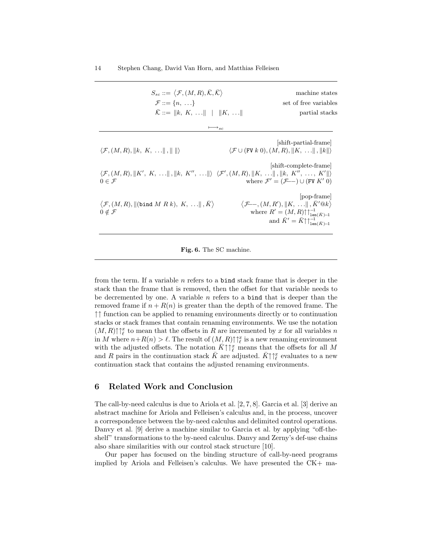| $S_{sc} ::= \langle \mathcal{F}, (M,R), \bar{\mathcal{K}}, \bar{\mathcal{K}} \rangle$<br>$\mathcal{F} ::= \{n, \ldots\}$<br>$\bar{\mathcal{K}} ::=   k, K,    \cdot   K,   $ | machine states<br>set of free variables<br>partial stacks                                                                                                                                                                                                            |  |
|------------------------------------------------------------------------------------------------------------------------------------------------------------------------------|----------------------------------------------------------------------------------------------------------------------------------------------------------------------------------------------------------------------------------------------------------------------|--|
| $\longmapsto_{sc}$                                                                                                                                                           |                                                                                                                                                                                                                                                                      |  |
| $\langle \mathcal{F}, (M, R),   k, K, \ldots  ,    \Vert$                                                                                                                    | shift-partial-frame<br>$\langle \mathcal{F} \cup (FW k 0), (M, R),   K, \ldots  ,   k   \rangle$                                                                                                                                                                     |  |
| $0 \in \mathcal{F}$                                                                                                                                                          | shift-complete-frame<br>$\langle \mathcal{F}, (M,R),   K', K, \ldots   ,   k, K'', \ldots    \rangle \langle \mathcal{F}', (M,R),   K, \ldots   ,   k, K'', \ldots , K'   \rangle$<br>where $\mathcal{F}' = (\mathcal{F} \text{---}) \cup (\text{FV } K' \text{ 0})$ |  |
| $\langle \mathcal{F}, (M,R),   $ (bind M R k), K, $  $ , $\overline{K}\rangle$<br>$0 \notin \mathcal{F}$                                                                     | pop-frame<br>$\langle \mathcal{F}$ —, $(M, R'),   K, \ldots  $ , $\overline{K}' \mathbb{Q} k$<br>where $R' = (M, R) \uparrow \uparrow_{\text{len}(\bar{K})-1}^{-1}$<br>and $\bar{K}' = \bar{K} \!\!\uparrow \!\!\uparrow_{\text{len}(\bar{K})\!-\!1}^{-1}$           |  |
|                                                                                                                                                                              |                                                                                                                                                                                                                                                                      |  |

Fig. 6. The SC machine.

from the term. If a variable n refers to a bind stack frame that is deeper in the stack than the frame that is removed, then the offset for that variable needs to be decremented by one. A variable  $n$  refers to a bind that is deeper than the removed frame if  $n + R(n)$  is greater than the depth of the removed frame. The ↑↑ function can be applied to renaming environments directly or to continuation stacks or stack frames that contain renaming environments. We use the notation  $(M, R) \uparrow \uparrow^x_\ell$  to mean that the offsets in  $R$  are incremented by  $x$  for all variables  $n$ in M where  $n+R(n) > \ell$ . The result of  $(M<sub>1</sub>, R) \uparrow \uparrow_{\ell}^x$  is a new renaming environment with the adjusted offsets. The notation  $\bar{K} \uparrow \uparrow^x_{\ell}$  means that the offsets for all M and R pairs in the continuation stack  $\bar{K}$  are adjusted.  $\bar{K} \uparrow \uparrow_{\ell}^x$  evaluates to a new continuation stack that contains the adjusted renaming environments.

### 6 Related Work and Conclusion

The call-by-need calculus is due to Ariola et al. [2, 7, 8]. Garcia et al. [3] derive an abstract machine for Ariola and Felleisen's calculus and, in the process, uncover a correspondence between the by-need calculus and delimited control operations. Danvy et al. [9] derive a machine similar to Garcia et al. by applying "off-theshelf" transformations to the by-need calculus. Danvy and Zerny's def-use chains also share similarities with our control stack structure [10].

Our paper has focused on the binding structure of call-by-need programs implied by Ariola and Felleisen's calculus. We have presented the CK+ ma